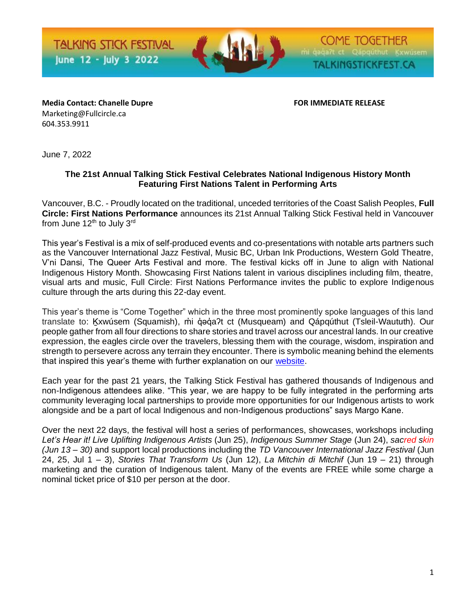**TALKING STICK FESTIVAL** June 12 - July 3 2022



**COME TOGETHER** TALKINGSTICKFEST.CA

**Media Contact: Chanelle Dupre FOR IMMEDIATE RELEASE** Marketing@Fullcircle.ca 604.353.9911

June 7, 2022

### **The 21st Annual Talking Stick Festival Celebrates National Indigenous History Month Featuring First Nations Talent in Performing Arts**

Vancouver, B.C. - Proudly located on the traditional, unceded territories of the Coast Salish Peoples, **Full Circle: First Nations Performance** announces its 21st Annual Talking Stick Festival held in Vancouver from June  $12<sup>th</sup>$  to July  $3<sup>rd</sup>$ 

This year's Festival is a mix of self-produced events and co-presentations with notable arts partners such as the Vancouver International Jazz Festival, Music BC, Urban Ink Productions, Western Gold Theatre, V'ni Dansi, The Queer Arts Festival and more. The festival kicks off in June to align with National Indigenous History Month. Showcasing First Nations talent in various disciplines including film, theatre, visual arts and music, Full Circle: First Nations Performance invites the public to explore Indigenous culture through the arts during this 22-day event.

This year's theme is "Come Together" which in the three most prominently spoke languages of this land translate to: Kxwúsem (Squamish), mu deda?t ct (Musqueam) and Qápqúthut (Tsleil-Waututh). Our people gather from all four directions to share stories and travel across our ancestral lands. In our creative expression, the eagles circle over the travelers, blessing them with the courage, wisdom, inspiration and strength to persevere across any terrain they encounter. There is symbolic meaning behind the elements that inspired this year's theme with further explanation on our [website.](https://fullcircle.ca/talking-stick-festival-2022/)

Each year for the past 21 years, the Talking Stick Festival has gathered thousands of Indigenous and non-Indigenous attendees alike. "This year, we are happy to be fully integrated in the performing arts community leveraging local partnerships to provide more opportunities for our Indigenous artists to work alongside and be a part of local Indigenous and non-Indigenous productions" says Margo Kane.

Over the next 22 days, the festival will host a series of performances, showcases, workshops including *Let's Hear it! Live Uplifting Indigenous Artists* (Jun 25), *Indigenous Summer Stage* (Jun 24), *sacred skin (Jun 13 – 30)* and support local productions including the *TD Vancouver International Jazz Festival* (Jun 24, 25, Jul 1 – 3), *Stories That Transform Us* (Jun 12), *La Mitchin di Mitchif* (Jun 19 – 21) through marketing and the curation of Indigenous talent. Many of the events are FREE while some charge a nominal ticket price of \$10 per person at the door.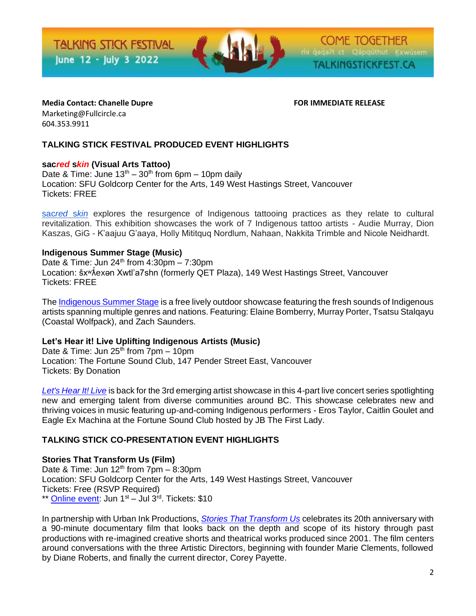**TALKING STICK FESTIVAL** June 12 - July 3 2022



**COME TOGETHER** TALKINGSTICKFEST.CA

**Media Contact: Chanelle Dupre FOR IMMEDIATE RELEASE** Marketing@Fullcircle.ca 604.353.9911

# **TALKING STICK FESTIVAL PRODUCED EVENT HIGHLIGHTS**

## **sac***red* **s***kin* **(Visual Arts Tattoo)**

Date & Time: June  $13<sup>th</sup> - 30<sup>th</sup>$  from 6pm – 10pm daily Location: SFU Goldcorp Center for the Arts, 149 West Hastings Street, Vancouver Tickets: FREE

[sac](https://fullcircle.ca/talking-stick-festival-2022/sacred-skin-visual-arts/)*[red](https://fullcircle.ca/talking-stick-festival-2022/sacred-skin-visual-arts/)* [s](https://fullcircle.ca/talking-stick-festival-2022/sacred-skin-visual-arts/)*[kin](https://fullcircle.ca/talking-stick-festival-2022/sacred-skin-visual-arts/)* explores the resurgence of Indigenous tattooing practices as they relate to cultural revitalization. This exhibition showcases the work of 7 Indigenous tattoo artists - Audie Murray, Dion Kaszas, GiG - K'aajuu G'aaya, Holly Mititquq Nordlum, Nahaan, Nakkita Trimble and Nicole Neidhardt.

## **Indigenous Summer Stage (Music)**

Date & Time: Jun  $24<sup>th</sup>$  from  $4:30$ pm – 7:30pm Location: šx<sup>w</sup>Âexan Xwtl'a7shn (formerly QET Plaza), 149 West Hastings Street, Vancouver Tickets: FREE

Th[e Indigenous Summer Stage](https://fullcircle.ca/talking-stick-festival-2022/indigenous-summer-stage/) is a free lively outdoor showcase featuring the fresh sounds of Indigenous artists spanning multiple genres and nations. Featuring: Elaine Bomberry, Murray Porter, Tsatsu Stalqayu (Coastal Wolfpack), and Zach Saunders.

#### **Let's Hear it! Live Uplifting Indigenous Artists (Music)**

Date & Time: Jun  $25<sup>th</sup>$  from  $7pm - 10pm$ Location: The Fortune Sound Club, 147 Pender Street East, Vancouver Tickets: By Donation

*[Let's Hear It! Live](https://fullcircle.ca/talking-stick-festival-2022/lets-hear-it-live/)* is back for the 3rd emerging artist showcase in this 4-part live concert series spotlighting new and emerging talent from diverse communities around BC. This showcase celebrates new and thriving voices in music featuring up-and-coming Indigenous performers - Eros Taylor, Caitlin Goulet and Eagle Ex Machina at the Fortune Sound Club hosted by JB The First Lady.

## **TALKING STICK CO-PRESENTATION EVENT HIGHLIGHTS**

#### **Stories That Transform Us (Film)**

Date & Time: Jun  $12<sup>th</sup>$  from 7pm – 8:30pm Location: SFU Goldcorp Center for the Arts, 149 West Hastings Street, Vancouver Tickets: Free (RSVP Required) \*\* [Online event:](https://watch.eventive.org/urbanink/play/62950befa8947b00be244677) Jun  $1<sup>st</sup>$  – Jul  $3<sup>rd</sup>$ . Tickets: \$10

In partnership with Urban Ink Productions, *[Stories That Transform Us](https://fullcircle.ca/talking-stick-festival-2022/stories-that-transform-us/)* celebrates its 20th anniversary with a 90-minute documentary film that looks back on the depth and scope of its history through past productions with re-imagined creative shorts and theatrical works produced since 2001. The film centers around conversations with the three Artistic Directors, beginning with founder Marie Clements, followed by Diane Roberts, and finally the current director, Corey Payette.